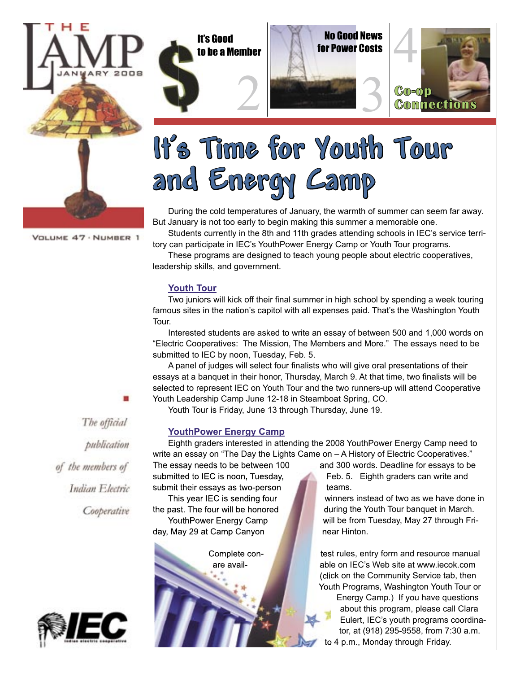

to be a Member





# **It's Time for Youth Tour and Energy Camp**

During the cold temperatures of January, the warmth of summer can seem far away. But January is not too early to begin making this summer a memorable one.

Students currently in the 8th and 11th grades attending schools in IEC's service territory can participate in IEC's YouthPower Energy Camp or Youth Tour programs.

These programs are designed to teach young people about electric cooperatives, leadership skills, and government.

### **Youth Tour**

Two juniors will kick off their final summer in high school by spending a week touring famous sites in the nation's capitol with all expenses paid. That's the Washington Youth Tour.

Interested students are asked to write an essay of between 500 and 1,000 words on "Electric Cooperatives: The Mission, The Members and More." The essays need to be submitted to IEC by noon, Tuesday, Feb. 5.

A panel of judges will select four finalists who will give oral presentations of their essays at a banquet in their honor, Thursday, March 9. At that time, two finalists will be selected to represent IEC on Youth Tour and the two runners-up will attend Cooperative Youth Leadership Camp June 12-18 in Steamboat Spring, CO.

Youth Tour is Friday, June 13 through Thursday, June 19.

### **YouthPower Energy Camp**

Eighth graders interested in attending the 2008 YouthPower Energy Camp need to write an essay on "The Day the Lights Came on – A History of Electric Cooperatives."

submit their essays as two-person **the teams.** day, May 29 at Camp Canyon **near Hinton.** 

The essay needs to be between 100 and 300 words. Deadline for essays to be submitted to IEC is noon, Tuesday, Feb. 5. Eighth graders can write and

This year IEC is sending four winners instead of two as we have done in the past. The four will be honored during the Youth Tour banquet in March. YouthPower Energy Camp Will be from Tuesday, May 27 through Fri-

> Complete con- **the set rules**, entry form and resource manual are avail- able on IEC's Web site at www.iecok.com (click on the Community Service tab, then Youth Programs, Washington Youth Tour or Energy Camp.) If you have questions about this program, please call Clara Eulert, IEC's youth programs coordinator, at (918) 295-9558, from 7:30 a.m. to 4 p.m., Monday through Friday.

VOLUME 47 · NUMBER 1

The official publication of the members of Indian Electric Cooperative

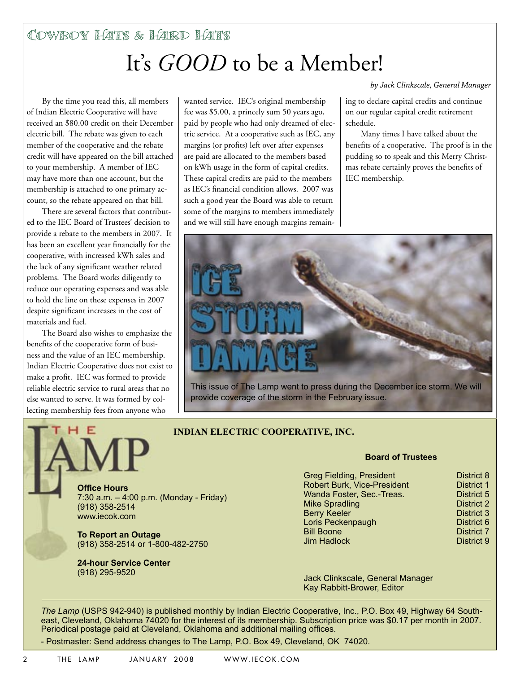# It's *GOOD* to be a Member!

By the time you read this, all members of Indian Electric Cooperative will have received an \$80.00 credit on their December electric bill. The rebate was given to each member of the cooperative and the rebate credit will have appeared on the bill attached to your membership. A member of IEC may have more than one account, but the membership is attached to one primary account, so the rebate appeared on that bill.

There are several factors that contributed to the IEC Board of Trustees' decision to provide a rebate to the members in 2007. It has been an excellent year financially for the cooperative, with increased kWh sales and the lack of any significant weather related problems. The Board works diligently to reduce our operating expenses and was able to hold the line on these expenses in 2007 despite significant increases in the cost of materials and fuel.

The Board also wishes to emphasize the benefits of the cooperative form of business and the value of an IEC membership. Indian Electric Cooperative does not exist to make a profit. IEC was formed to provide reliable electric service to rural areas that no else wanted to serve. It was formed by collecting membership fees from anyone who

Е

wanted service. IEC's original membership fee was \$5.00, a princely sum 50 years ago, paid by people who had only dreamed of electric service. At a cooperative such as IEC, any margins (or profits) left over after expenses are paid are allocated to the members based on kWh usage in the form of capital credits. These capital credits are paid to the members as IEC's financial condition allows. 2007 was such a good year the Board was able to return some of the margins to members immediately and we will still have enough margins remain*by Jack Clinkscale, General Manager*

ing to declare capital credits and continue on our regular capital credit retirement schedule.

Many times I have talked about the benefits of a cooperative. The proof is in the pudding so to speak and this Merry Christmas rebate certainly proves the benefits of IEC membership.



This issue of The Lamp went to press during the December ice storm. We will provide coverage of the storm in the February issue.

### **INDIAN ELECTRIC COOPERATIVE, INC.**

**Offi ce Hours** 7:30 a.m. – 4:00 p.m. (Monday - Friday) (918) 358-2514 www.iecok.com

**To Report an Outage** (918) 358-2514 or 1-800-482-2750

**24-hour Service Center**  (918) 295-9520

### **Board of Trustees**

| District 8        |
|-------------------|
| <b>District 1</b> |
| District 5        |
| <b>District 2</b> |
| <b>District 3</b> |
| District 6        |
| <b>District 7</b> |
| District 9        |
|                   |

Jack Clinkscale, General Manager Kay Rabbitt-Brower, Editor

*The Lamp* (USPS 942-940) is published monthly by Indian Electric Cooperative, Inc., P.O. Box 49, Highway 64 Southeast, Cleveland, Oklahoma 74020 for the interest of its membership. Subscription price was \$0.17 per month in 2007. Periodical postage paid at Cleveland, Oklahoma and additional mailing offices.

- Postmaster: Send address changes to The Lamp, P.O. Box 49, Cleveland, OK 74020.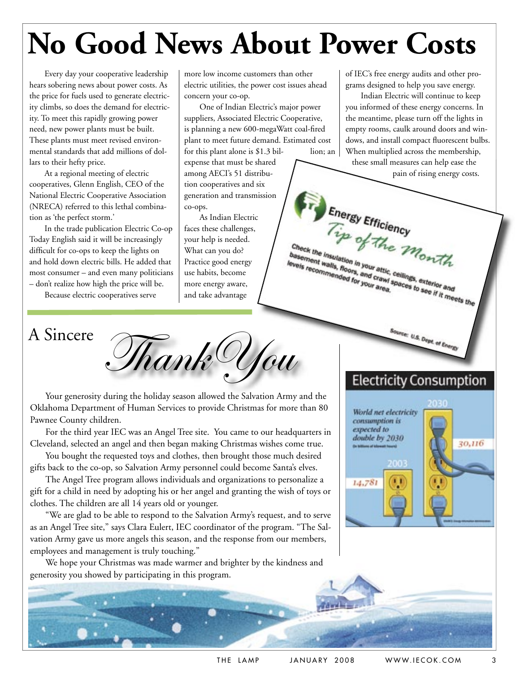# **No Good News About Power Costs**

Every day your cooperative leadership hears sobering news about power costs. As the price for fuels used to generate electricity climbs, so does the demand for electricity. To meet this rapidly growing power need, new power plants must be built. These plants must meet revised environmental standards that add millions of dollars to their hefty price.

At a regional meeting of electric cooperatives, Glenn English, CEO of the National Electric Cooperative Association (NRECA) referred to this lethal combination as 'the perfect storm.'

In the trade publication Electric Co-op Today English said it will be increasingly difficult for co-ops to keep the lights on and hold down electric bills. He added that most consumer – and even many politicians – don't realize how high the price will be.

Because electric cooperatives serve

more low income customers than other electric utilities, the power cost issues ahead concern your co-op.

One of Indian Electric's major power suppliers, Associated Electric Cooperative, is planning a new 600-megaWatt coal-fired plant to meet future demand. Estimated cost for this plant alone is  $$1.3$  bil- lion; an

expense that must be shared among AECI's 51 distribution cooperatives and six generation and transmission co-ops.

As Indian Electric faces these challenges, your help is needed. What can you do? Practice good energy use habits, become more energy aware, and take advantage

of IEC's free energy audits and other programs designed to help you save energy.

Indian Electric will continue to keep you informed of these energy concerns. In the meantime, please turn off the lights in empty rooms, caulk around doors and windows, and install compact fluorescent bulbs. When multiplied across the membership,

these small measures can help ease the pain of rising energy costs.

Energy Efficiency Check the insulation in your attic, ceilings, exterior and<br>basement walls, floors, your attic, ceilings, exterior and<br>evels recommended for your area, Check the insulation in your attic, ceilings, exterior and<br>levels recommended for your attic, ceilings, exterior and<br>intervals, the commended for your area, levels recommended for your attic.<br>levels recommended for your attic.<br>sex recommended for your area.

 $A$  Sincere Thank Uou

Your generosity during the holiday season allowed the Salvation Army and the Oklahoma Department of Human Services to provide Christmas for more than 80 Pawnee County children.

For the third year IEC was an Angel Tree site. You came to our headquarters in Cleveland, selected an angel and then began making Christmas wishes come true.

You bought the requested toys and clothes, then brought those much desired gifts back to the co-op, so Salvation Army personnel could become Santa's elves.

The Angel Tree program allows individuals and organizations to personalize a gift for a child in need by adopting his or her angel and granting the wish of toys or clothes. The children are all 14 years old or younger.

"We are glad to be able to respond to the Salvation Army's request, and to serve as an Angel Tree site," says Clara Eulert, IEC coordinator of the program. "The Salvation Army gave us more angels this season, and the response from our members, employees and management is truly touching."

We hope your Christmas was made warmer and brighter by the kindness and generosity you showed by participating in this program.

### **Electricity Consumption**

E U.S. Dept. of Energy